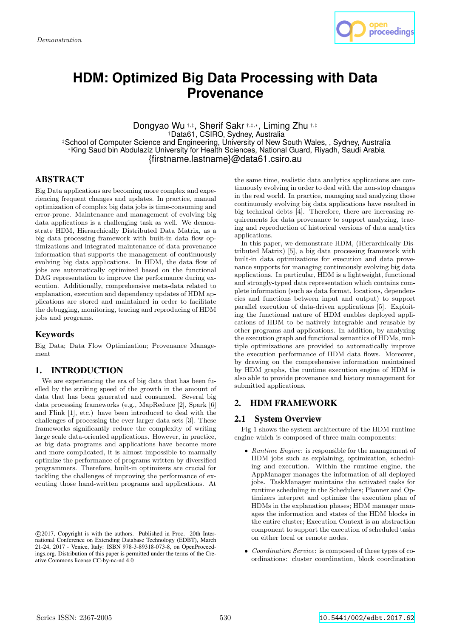

# **HDM: Optimized Big Data Processing with Data Provenance**

Dongyao Wu †,‡ , Sherif Sakr †,‡,<sup>∗</sup>, Liming Zhu †,‡ †Data61, CSIRO, Sydney, Australia ‡School of Computer Science and Engineering, University of New South Wales, , Sydney, Australia <sup>∗</sup>King Saud bin Abdulaziz University for Health Sciences, National Guard, Riyadh, Saudi Arabia {firstname.lastname}@data61.csiro.au

# **ABSTRACT**

Big Data applications are becoming more complex and experiencing frequent changes and updates. In practice, manual optimization of complex big data jobs is time-consuming and error-prone. Maintenance and management of evolving big data applications is a challenging task as well. We demonstrate HDM, Hierarchically Distributed Data Matrix, as a big data processing framework with built-in data flow optimizations and integrated maintenance of data provenance information that supports the management of continuously evolving big data applications. In HDM, the data flow of jobs are automatically optimized based on the functional DAG representation to improve the performance during execution. Additionally, comprehensive meta-data related to explanation, execution and dependency updates of HDM applications are stored and maintained in order to facilitate the debugging, monitoring, tracing and reproducing of HDM jobs and programs.

# Keywords

Big Data; Data Flow Optimization; Provenance Management

# 1. INTRODUCTION

We are experiencing the era of big data that has been fuelled by the striking speed of the growth in the amount of data that has been generated and consumed. Several big data processing frameworks (e.g., MapReduce [2], Spark [6] and Flink [1], etc.) have been introduced to deal with the challenges of processing the ever larger data sets [3]. These frameworks significantly reduce the complexity of writing large scale data-oriented applications. However, in practice, as big data programs and applications have become more and more complicated, it is almost impossible to manually optimize the performance of programs written by diversified programmers. Therefore, built-in optimizers are crucial for tackling the challenges of improving the performance of executing those hand-written programs and applications. At the same time, realistic data analytics applications are continuously evolving in order to deal with the non-stop changes in the real world. In practice, managing and analyzing those continuously evolving big data applications have resulted in big technical debts [4]. Therefore, there are increasing requirements for data provenance to support analyzing, tracing and reproduction of historical versions of data analytics applications.

In this paper, we demonstrate HDM, (Hierarchically Distributed Matrix) [5], a big data processing framework with built-in data optimizations for execution and data provenance supports for managing continuously evolving big data applications. In particular, HDM is a lightweight, functional and strongly-typed data representation which contains complete information (such as data format, locations, dependencies and functions between input and output) to support parallel execution of data-driven applications [5]. Exploiting the functional nature of HDM enables deployed applications of HDM to be natively integrable and reusable by other programs and applications. In addition, by analyzing the execution graph and functional semantics of HDMs, multiple optimizations are provided to automatically improve the execution performance of HDM data flows. Moreover, by drawing on the comprehensive information maintained by HDM graphs, the runtime execution engine of HDM is also able to provide provenance and history management for submitted applications.

# 2. HDM FRAMEWORK

# 2.1 System Overview

Fig 1 shows the system architecture of the HDM runtime engine which is composed of three main components:

- Runtime Engine: is responsible for the management of HDM jobs such as explaining, optimization, scheduling and execution. Within the runtime engine, the AppManager manages the information of all deployed jobs. TaskManager maintains the activated tasks for runtime scheduling in the Schedulers; Planner and Optimizers interpret and optimize the execution plan of HDMs in the explanation phases; HDM manager manages the information and states of the HDM blocks in the entire cluster; Execution Context is an abstraction component to support the execution of scheduled tasks on either local or remote nodes.
- Coordination Service: is composed of three types of coordinations: cluster coordination, block coordination

c 2017, Copyright is with the authors. Published in Proc. 20th International Conference on Extending Database Technology (EDBT), March 21-24, 2017 - Venice, Italy: ISBN 978-3-89318-073-8, on OpenProceedings.org. Distribution of this paper is permitted under the terms of the Creative Commons license CC-by-nc-nd 4.0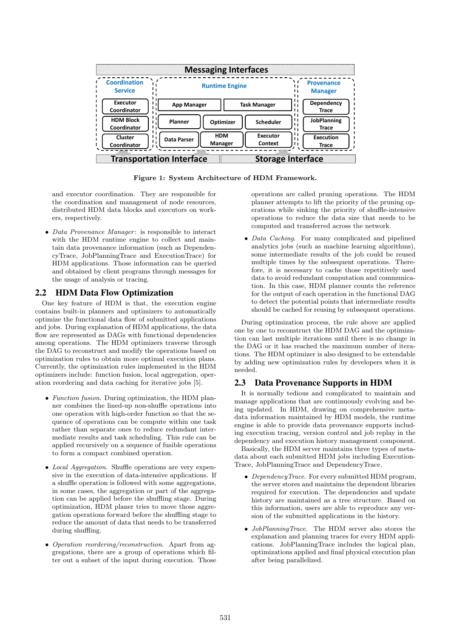|                                       |                       |                          |                               | <b>Messaging Interfaces</b> |  |                                     |  |  |
|---------------------------------------|-----------------------|--------------------------|-------------------------------|-----------------------------|--|-------------------------------------|--|--|
| <b>Coordination</b><br><b>Service</b> | <b>Runtime Engine</b> |                          |                               |                             |  | <b>Provenance</b><br><b>Manager</b> |  |  |
| Executor<br>Coordinator               | <b>App Manager</b>    |                          |                               | <b>Task Manager</b>         |  | Dependency<br>Trace                 |  |  |
| <b>HDM Block</b><br>Coordinator       | Planner               |                          | Optimizer<br><b>Scheduler</b> |                             |  | <b>JobPlanning</b><br><b>Trace</b>  |  |  |
| Cluster<br>Coordinator                | <b>Data Parser</b>    | <b>HDM</b><br>Manager    |                               | Executor<br>Context         |  | <b>Execution</b><br><b>Trace</b>    |  |  |
| <b>Transportation Interface</b>       |                       | <b>Storage Interface</b> |                               |                             |  |                                     |  |  |

Figure 1: System Architecture of HDM Framework.

and executor coordination. They are responsible for the coordination and management of node resources, distributed HDM data blocks and executors on workers, respectively.

• Data Provenance Manager: is responsible to interact with the HDM runtime engine to collect and maintain data provenance information (such as DependencyTrace, JobPlanningTrace and ExecutionTrace) for HDM applications. Those information can be queried and obtained by client programs through messages for the usage of analysis or tracing.

# 2.2 HDM Data Flow Optimization

One key feature of HDM is that, the execution engine contains built-in planners and optimizers to automatically optimize the functional data flow of submitted applications and jobs. During explanation of HDM applications, the data flow are represented as DAGs with functional dependencies among operations. The HDM optimizers traverse through the DAG to reconstruct and modify the operations based on optimization rules to obtain more optimal execution plans. Currently, the optimization rules implemented in the HDM optimizers include: function fusion, local aggregation, operation reordering and data caching for iterative jobs [5].

- Function fusion. During optimization, the HDM planner combines the lined-up non-shuffle operations into one operation with high-order function so that the sequence of operations can be compute within one task rather than separate ones to reduce redundant intermediate results and task scheduling. This rule can be applied recursively on a sequence of fusible operations to form a compact combined operation.
- Local Aggregation. Shuffle operations are very expensive in the execution of data-intensive applications. If a shuffle operation is followed with some aggregations, in some cases, the aggregation or part of the aggregation can be applied before the shuffling stage. During optimization, HDM planer tries to move those aggregation operations forward before the shuffling stage to reduce the amount of data that needs to be transferred during shuffling.
- Operation reordering/reconstruction. Apart from aggregations, there are a group of operations which filter out a subset of the input during execution. Those

1 operations are called pruning operations. The HDM planner attempts to lift the priority of the pruning operations while sinking the priority of shuffle-intensive operations to reduce the data size that needs to be computed and transferred across the network.

• *Data Caching*. For many complicated and pipelined analytics jobs (such as machine learning algorithms), some intermediate results of the job could be reused multiple times by the subsequent operations. Therefore, it is necessary to cache those repetitively used data to avoid redundant computation and communication. In this case, HDM planner counts the reference for the output of each operation in the functional DAG to detect the potential points that intermediate results should be cached for reusing by subsequent operations.

During optimization process, the rule above are applied one by one to reconstruct the HDM DAG and the optimization can last multiple iterations until there is no change in the DAG or it has reached the maximum number of iterations. The HDM optimizer is also designed to be extendable by adding new optimization rules by developers when it is needed.

# 2.3 Data Provenance Supports in HDM

It is normally tedious and complicated to maintain and manage applications that are continuously evolving and being updated. In HDM, drawing on comprehensive metadata information maintained by HDM models, the runtime engine is able to provide data provenance supports including execution tracing, version control and job replay in the dependency and execution history management component.

Basically, the HDM server maintains three types of metadata about each submitted HDM jobs including Execution-Trace, JobPlanningTrace and DependencyTrace.

- DependencyTrace. For every submitted HDM program, the server stores and maintains the dependent libraries required for execution. The dependencies and update history are maintained as a tree structure. Based on this information, users are able to reproduce any version of the submitted applications in the history.
- JobPlanningTrace. The HDM server also stores the explanation and planning traces for every HDM applications. JobPlanningTrace includes the logical plan, optimizations applied and final physical execution plan after being parallelized.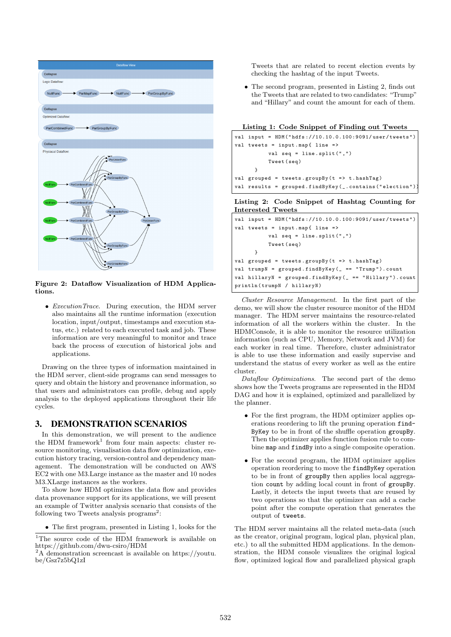

Figure 2: Dataflow Visualization of HDM Applications.

• ExecutionTrace. During execution, the HDM server also maintains all the runtime information (execution location, input/output, timestamps and execution status, etc.) related to each executed task and job. These information are very meaningful to monitor and trace back the process of execution of historical jobs and applications.

Drawing on the three types of information maintained in the HDM server, client-side programs can send messages to query and obtain the history and provenance information, so that users and administrators can profile, debug and apply analysis to the deployed applications throughout their life cycles.

# 3. DEMONSTRATION SCENARIOS

In this demonstration, we will present to the audience the HDM framework<sup>1</sup> from four main aspects: cluster resource monitoring, visualisation data flow optimization, execution history tracing, version-control and dependency management. The demonstration will be conducted on AWS EC2 with one M3.Large instance as the master and 10 nodes M3.XLarge instances as the workers.

To show how HDM optimizes the data flow and provides data provenance support for its applications, we will present an example of Twitter analysis scenario that consists of the following two Tweets analysis programs<sup>2</sup>:

• The first program, presented in Listing 1, looks for the

```
<sup>1</sup>The source code of the HDM framework is available on
https://github.com/dwu-csiro/HDM
```

```
2A demonstration screencast is available on https://youtu.
be/Gsz7z5bQ1zI
```
Tweets that are related to recent election events by checking the hashtag of the input Tweets.

• The second program, presented in Listing 2, finds out the Tweets that are related to two candidates: "Trump" and "Hillary" and count the amount for each of them.

|  |  |  |  | Listing 1: Code Snippet of Finding out Tweets |
|--|--|--|--|-----------------------------------------------|
|  |  |  |  |                                               |

```
val input = HDM (" hdfs ://10.10.0.100:9091/ user / tweets ")
val tweets = input.map{ line =>
           val seq = line . split (" ,")
           Tweet ( seq )
      }
val grouped = tweets.groupBy (t => t.hashTag)
val results = grouped . findByKey (_. contains (" election " ))
```
#### Listing 2: Code Snippet of Hashtag Counting for Interested Tweets

```
val input = HDM (" hdfs ://10.10.0.100:9091/ user / tweets ")
val tweets = input.map{ line =>
           val seq = line.split(",")
           Tweet ( seq )
      }
val grouped = tweets.groupBy (t => t.hashTag)
val trumpN = grouped . findByKey (_ == " Trump " ). count
val hillaryN = grouped . findByKey (_ == " Hillary " ). count
println ( trumpN / hillaryN )
```
Cluster Resource Management. In the first part of the demo, we will show the cluster resource monitor of the HDM manager. The HDM server maintains the resource-related information of all the workers within the cluster. In the HDMConsole, it is able to monitor the resource utilization information (such as CPU, Memory, Network and JVM) for each worker in real time. Therefore, cluster administrator is able to use these information and easily supervise and understand the status of every worker as well as the entire cluster.

Dataflow Optimizations. The second part of the demo shows how the Tweets programs are represented in the HDM DAG and how it is explained, optimized and parallelized by the planner.

- For the first program, the HDM optimizer applies operations reordering to lift the pruning operation find-ByKey to be in front of the shuffle operation groupBy. Then the optimizer applies function fusion rule to combine map and findBy into a single composite operation.
- For the second program, the HDM optimizer applies operation reordering to move the findByKey operation to be in front of groupBy then applies local aggregation count by adding local count in front of groupBy. Lastly, it detects the input tweets that are reused by two operations so that the optimizer can add a cache point after the compute operation that generates the output of tweets.

The HDM server maintains all the related meta-data (such as the creator, original program, logical plan, physical plan, etc.) to all the submitted HDM applications. In the demonstration, the HDM console visualizes the original logical flow, optimized logical flow and parallelized physical graph